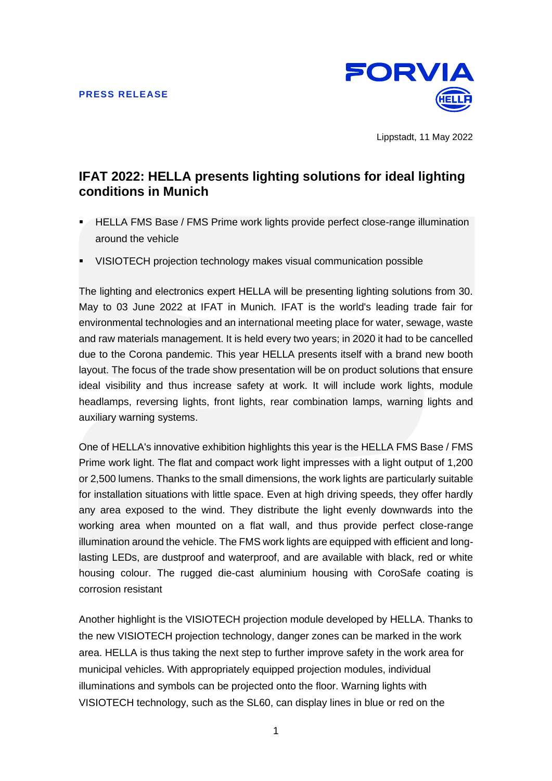

Lippstadt, 11 May 2022

# **IFAT 2022: HELLA presents lighting solutions for ideal lighting conditions in Munich**

- **HELLA FMS Base / FMS Prime work lights provide perfect close-range illumination** around the vehicle
- VISIOTECH projection technology makes visual communication possible

The lighting and electronics expert HELLA will be presenting lighting solutions from 30. May to 03 June 2022 at IFAT in Munich. IFAT is the world's leading trade fair for environmental technologies and an international meeting place for water, sewage, waste and raw materials management. It is held every two years; in 2020 it had to be cancelled due to the Corona pandemic. This year HELLA presents itself with a brand new booth layout. The focus of the trade show presentation will be on product solutions that ensure ideal visibility and thus increase safety at work. It will include work lights, module headlamps, reversing lights, front lights, rear combination lamps, warning lights and auxiliary warning systems.

One of HELLA's innovative exhibition highlights this year is the HELLA FMS Base / FMS Prime work light. The flat and compact work light impresses with a light output of 1,200 or 2,500 lumens. Thanks to the small dimensions, the work lights are particularly suitable for installation situations with little space. Even at high driving speeds, they offer hardly any area exposed to the wind. They distribute the light evenly downwards into the working area when mounted on a flat wall, and thus provide perfect close-range illumination around the vehicle. The FMS work lights are equipped with efficient and longlasting LEDs, are dustproof and waterproof, and are available with black, red or white housing colour. The rugged die-cast aluminium housing with CoroSafe coating is corrosion resistant

Another highlight is the VISIOTECH projection module developed by HELLA. Thanks to the new VISIOTECH projection technology, danger zones can be marked in the work area. HELLA is thus taking the next step to further improve safety in the work area for municipal vehicles. With appropriately equipped projection modules, individual illuminations and symbols can be projected onto the floor. Warning lights with VISIOTECH technology, such as the SL60, can display lines in blue or red on the